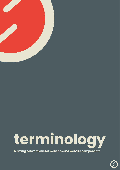

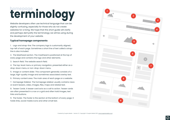## **homepage terminology**

Website developers often use technical language that can be slightly confusing, especially for those who do not create websites for a living. We hope that this short guide will clarify and perhaps demystify the terminology we will be using during the development of your website.

### **Typical homepage components**

1. Logo and strap-line: The company logo is customarily aligned, top-left of each page. Sometimes a short line of text called a strapline is also included.

2. The Masthead section. The masthead is positioned at the top of every page and contains the logo and other elements.

3. Search field. The website search field.

4. The top-level menu or primary navigation, presented either as a drop-down menu or non-drop-down menu.

5. Image or content slider. This component generally consists of a large, high-quality image and sometimes associated overlay text.

6. Primary content area. The main area of each page on a website.

7. Homepage Sidebar. The homepage sidebar usually contains news or event teasers, video, images, files, maps and related text.

8. Teaser Cards. A teaser card acts as a call to action. Teaser cards are often presented in a row or a grid and often hold images, text links and buttons.

9. The footer. The footer is the section at the bottom of every page. It holds links, social media icons and other small text.



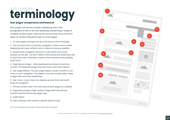## **terminology sub-pages**

### **Sub-pages components and features**

Sub-pages can be very simple, displaying only a few paragraphs of text or be very elaborate, presenting a range of multiple content types. Here we list some of the most common types of content frequently seen on sub-pages.





1. On sub-pages, the logo acts as a link back to the homepage.

2. The top-level menu or primary navigation is often colour coded, displaying text hover-effects and on-states to improve usability.

3. Breadcrumb navigation will show a user's path and current location on the site. The term refers to the Hansel and Gretel fairy tale in which the main characters create a trail of breadcrumbs leading back home.

4. Page feature image - often positioned just above the primary content. The featured image may also have a short text caption.

5. Sub-page sidebar. The sub-page sidebar usually contains a submenu or sub-navigation. The sidebar may also include video, maps, images, files and other related text.

6. Sub-menu. A sub-menu can display second, third and fourth levels of navigation.

7. Primary content area. The main area of each page on a website.

8. Supporting image. A high-quality image within the primary content area that enhances page copy.

9. Audio Player.

10. Tabs. Clicking a tab reveals a specific body of copy.

Note: The Homepage and sub-pages will often share similar components.